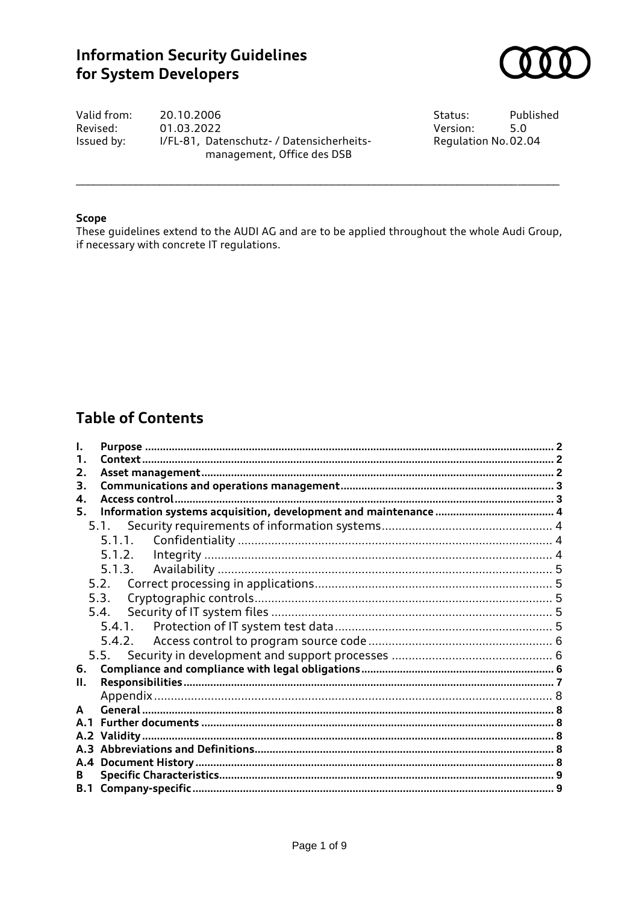# **Information Security Guidelines** for System Developers



Valid from: 20.10.2006 Revised: 01.03.2022 I/FL-81, Datenschutz- / Datensicherheits-Issued by: management, Office des DSB

Status: Published Version:  $5.0$ Regulation No.02.04

### **Scope**

These guidelines extend to the AUDI AG and are to be applied throughout the whole Audi Group, if necessary with concrete IT regulations.

# **Table of Contents**

| 2.  |        |  |  |
|-----|--------|--|--|
| З.  |        |  |  |
| 4.  |        |  |  |
| 5.  |        |  |  |
|     |        |  |  |
|     |        |  |  |
|     |        |  |  |
|     | 5.1.3. |  |  |
|     |        |  |  |
|     | 5.3.   |  |  |
|     |        |  |  |
|     |        |  |  |
|     |        |  |  |
|     |        |  |  |
| 6.  |        |  |  |
| П.  |        |  |  |
|     |        |  |  |
|     |        |  |  |
| Δ 1 |        |  |  |
|     |        |  |  |
|     |        |  |  |
| A.4 |        |  |  |
| В.  |        |  |  |
|     |        |  |  |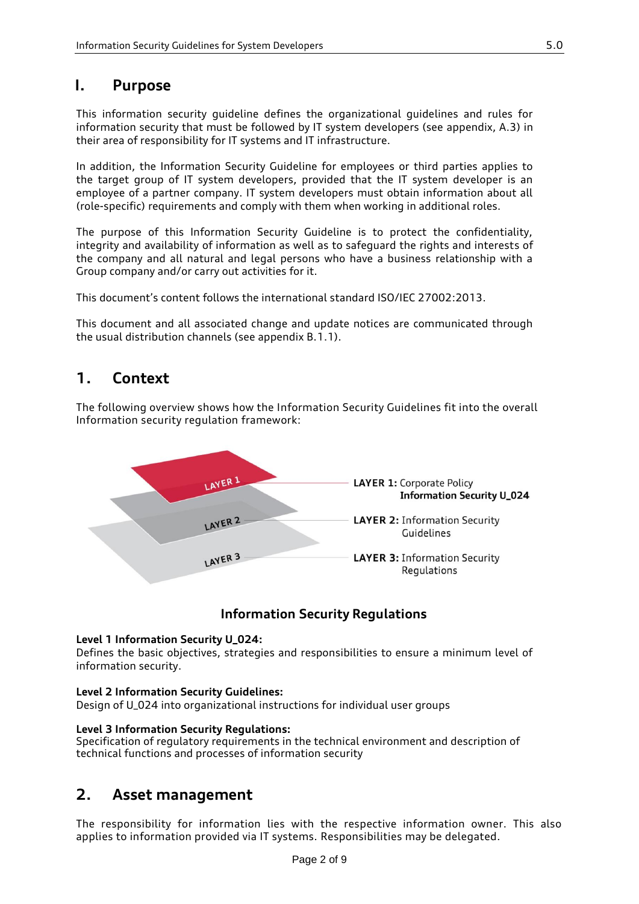### <span id="page-1-0"></span>**I. Purpose**

This information security guideline defines the organizational guidelines and rules for information security that must be followed by IT system developers (see appendix, A.3) in their area of responsibility for IT systems and IT infrastructure.

In addition, the Information Security Guideline for employees or third parties applies to the target group of IT system developers, provided that the IT system developer is an employee of a partner company. IT system developers must obtain information about all (role-specific) requirements and comply with them when working in additional roles.

The purpose of this Information Security Guideline is to protect the confidentiality, integrity and availability of information as well as to safeguard the rights and interests of the company and all natural and legal persons who have a business relationship with a Group company and/or carry out activities for it.

This document's content follows the international standard ISO/IEC 27002:2013.

<span id="page-1-1"></span>This document and all associated change and update notices are communicated through the usual distribution channels (see appendix B.1.1).

## **1. Context**

The following overview shows how the Information Security Guidelines fit into the overall Information security regulation framework:



### **Information Security Regulations**

#### **Level 1 Information Security U\_024:**

Defines the basic objectives, strategies and responsibilities to ensure a minimum level of information security.

#### **Level 2 Information Security Guidelines:**

Design of U\_024 into organizational instructions for individual user groups

#### **Level 3 Information Security Regulations:**

<span id="page-1-2"></span>Specification of regulatory requirements in the technical environment and description of technical functions and processes of information security

## **2. Asset management**

The responsibility for information lies with the respective information owner. This also applies to information provided via IT systems. Responsibilities may be delegated.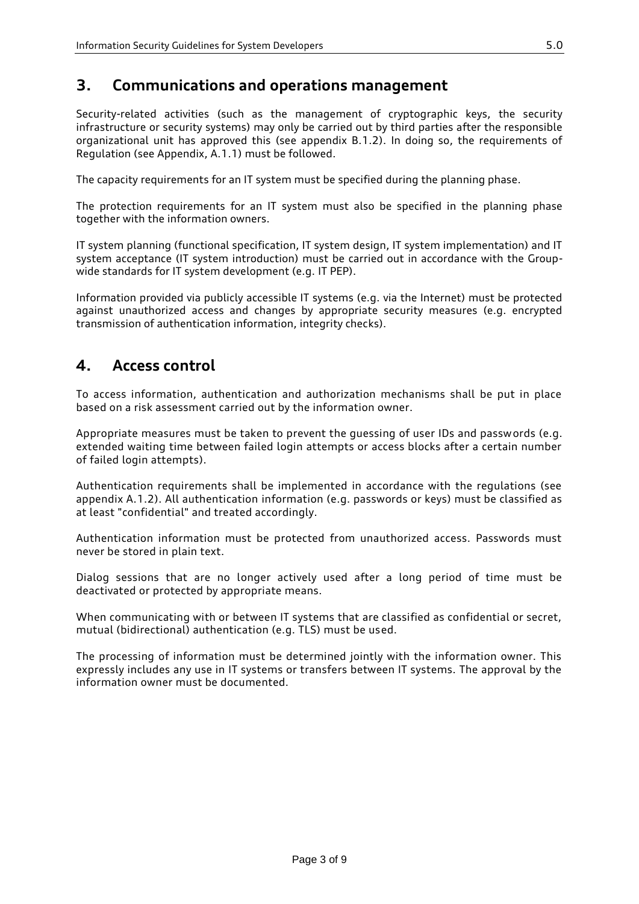## <span id="page-2-0"></span>**3. Communications and operations management**

Security-related activities (such as the management of cryptographic keys, the security infrastructure or security systems) may only be carried out by third parties after the responsible organizational unit has approved this (see appendix B.1.2). In doing so, the requirements of Regulation (see Appendix, A.1.1) must be followed.

The capacity requirements for an IT system must be specified during the planning phase.

The protection requirements for an IT system must also be specified in the planning phase together with the information owners.

IT system planning (functional specification, IT system design, IT system implementation) and IT system acceptance (IT system introduction) must be carried out in accordance with the Groupwide standards for IT system development (e.g. IT PEP).

Information provided via publicly accessible IT systems (e.g. via the Internet) must be protected against unauthorized access and changes by appropriate security measures (e.g. encrypted transmission of authentication information, integrity checks).

### <span id="page-2-1"></span>**4. Access control**

To access information, authentication and authorization mechanisms shall be put in place based on a risk assessment carried out by the information owner.

Appropriate measures must be taken to prevent the guessing of user IDs and passwords (e.g. extended waiting time between failed login attempts or access blocks after a certain number of failed login attempts).

Authentication requirements shall be implemented in accordance with the regulations (see appendix A.1.2). All authentication information (e.g. passwords or keys) must be classified as at least "confidential" and treated accordingly.

Authentication information must be protected from unauthorized access. Passwords must never be stored in plain text.

Dialog sessions that are no longer actively used after a long period of time must be deactivated or protected by appropriate means.

When communicating with or between IT systems that are classified as confidential or secret, mutual (bidirectional) authentication (e.g. TLS) must be used.

The processing of information must be determined jointly with the information owner. This expressly includes any use in IT systems or transfers between IT systems. The approval by the information owner must be documented.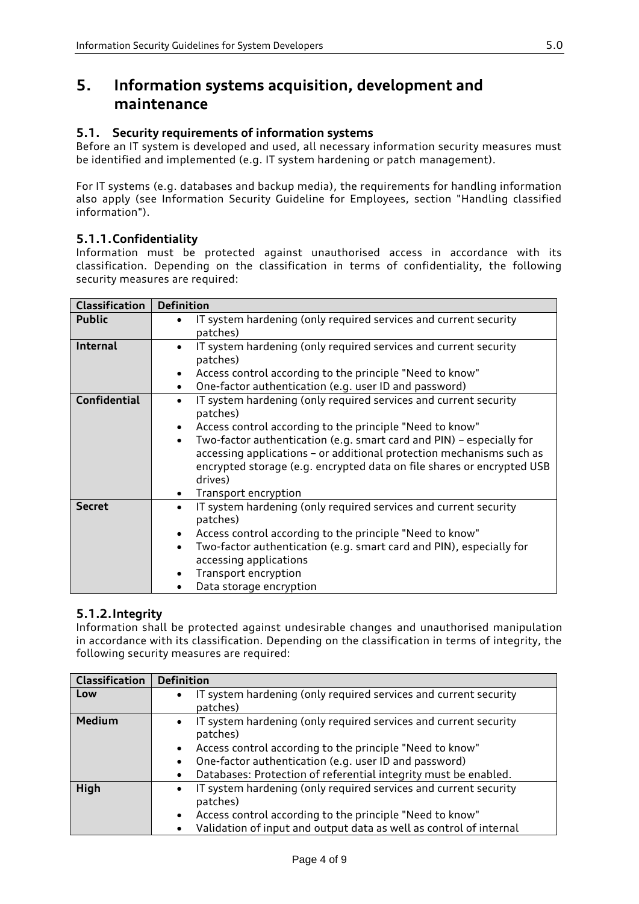## <span id="page-3-0"></span>**5. Information systems acquisition, development and maintenance**

### <span id="page-3-1"></span>**5.1. Security requirements of information systems**

Before an IT system is developed and used, all necessary information security measures must be identified and implemented (e.g. IT system hardening or patch management).

For IT systems (e.g. databases and backup media), the requirements for handling information also apply (see Information Security Guideline for Employees, section "Handling classified information").

### <span id="page-3-2"></span>**5.1.1.Confidentiality**

Information must be protected against unauthorised access in accordance with its classification. Depending on the classification in terms of confidentiality, the following security measures are required:

| <b>Classification</b> | <b>Definition</b>                                                                                                                                                                                                                              |  |  |  |
|-----------------------|------------------------------------------------------------------------------------------------------------------------------------------------------------------------------------------------------------------------------------------------|--|--|--|
| <b>Public</b>         | IT system hardening (only required services and current security<br>patches)                                                                                                                                                                   |  |  |  |
| <b>Internal</b>       | IT system hardening (only required services and current security<br>$\bullet$<br>patches)                                                                                                                                                      |  |  |  |
|                       | Access control according to the principle "Need to know"<br>$\bullet$                                                                                                                                                                          |  |  |  |
|                       | One-factor authentication (e.g. user ID and password)<br>$\bullet$                                                                                                                                                                             |  |  |  |
| <b>Confidential</b>   | IT system hardening (only required services and current security<br>$\bullet$<br>patches)                                                                                                                                                      |  |  |  |
|                       | Access control according to the principle "Need to know"<br>$\bullet$                                                                                                                                                                          |  |  |  |
|                       | Two-factor authentication (e.g. smart card and PIN) - especially for<br>$\bullet$<br>accessing applications - or additional protection mechanisms such as<br>encrypted storage (e.g. encrypted data on file shares or encrypted USB<br>drives) |  |  |  |
|                       | Transport encryption<br>$\bullet$                                                                                                                                                                                                              |  |  |  |
| <b>Secret</b>         | IT system hardening (only required services and current security<br>$\bullet$<br>patches)                                                                                                                                                      |  |  |  |
|                       | Access control according to the principle "Need to know"<br>$\bullet$                                                                                                                                                                          |  |  |  |
|                       | Two-factor authentication (e.g. smart card and PIN), especially for<br>$\bullet$                                                                                                                                                               |  |  |  |
|                       | accessing applications                                                                                                                                                                                                                         |  |  |  |
|                       | Transport encryption<br>$\bullet$                                                                                                                                                                                                              |  |  |  |
|                       | Data storage encryption                                                                                                                                                                                                                        |  |  |  |

### <span id="page-3-3"></span>**5.1.2.Integrity**

Information shall be protected against undesirable changes and unauthorised manipulation in accordance with its classification. Depending on the classification in terms of integrity, the following security measures are required:

| <b>Classification</b> | <b>Definition</b>                                                                                                                                                                                                                                                                                             |
|-----------------------|---------------------------------------------------------------------------------------------------------------------------------------------------------------------------------------------------------------------------------------------------------------------------------------------------------------|
| Low                   | IT system hardening (only required services and current security<br>$\bullet$<br>patches)                                                                                                                                                                                                                     |
| <b>Medium</b>         | • IT system hardening (only required services and current security<br>patches)<br>Access control according to the principle "Need to know"<br>$\bullet$<br>One-factor authentication (e.g. user ID and password)<br>$\bullet$<br>Databases: Protection of referential integrity must be enabled.<br>$\bullet$ |
| High                  | IT system hardening (only required services and current security<br>$\bullet$<br>patches)<br>Access control according to the principle "Need to know"<br>$\bullet$<br>Validation of input and output data as well as control of internal<br>$\bullet$                                                         |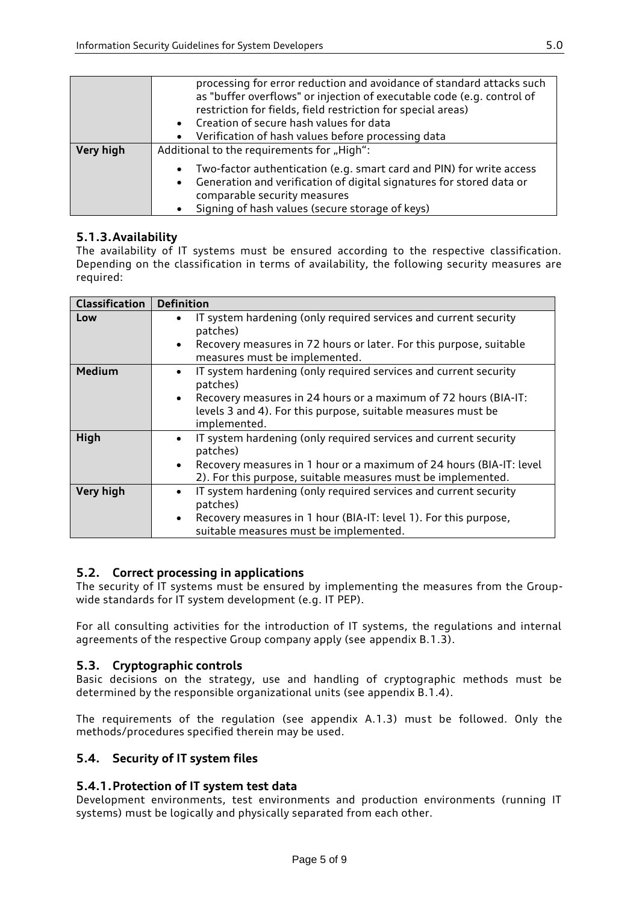|           | processing for error reduction and avoidance of standard attacks such<br>as "buffer overflows" or injection of executable code (e.g. control of<br>restriction for fields, field restriction for special areas)<br>• Creation of secure hash values for data<br>Verification of hash values before processing data<br>$\bullet$ |  |  |  |  |  |
|-----------|---------------------------------------------------------------------------------------------------------------------------------------------------------------------------------------------------------------------------------------------------------------------------------------------------------------------------------|--|--|--|--|--|
| Very high | Additional to the requirements for "High":<br>Two-factor authentication (e.g. smart card and PIN) for write access<br>$\bullet$<br>Generation and verification of digital signatures for stored data or<br>$\bullet$<br>comparable security measures                                                                            |  |  |  |  |  |
|           | Signing of hash values (secure storage of keys)                                                                                                                                                                                                                                                                                 |  |  |  |  |  |

### <span id="page-4-0"></span>**5.1.3.Availability**

The availability of IT systems must be ensured according to the respective classification. Depending on the classification in terms of availability, the following security measures are required:

| <b>Classification</b> | <b>Definition</b>                                                                                                                                                                                                                              |  |  |  |
|-----------------------|------------------------------------------------------------------------------------------------------------------------------------------------------------------------------------------------------------------------------------------------|--|--|--|
| Low                   | IT system hardening (only required services and current security<br>$\bullet$<br>patches)<br>Recovery measures in 72 hours or later. For this purpose, suitable<br>$\bullet$<br>measures must be implemented.                                  |  |  |  |
| <b>Medium</b>         | IT system hardening (only required services and current security<br>$\bullet$<br>patches)<br>• Recovery measures in 24 hours or a maximum of 72 hours (BIA-IT:<br>levels 3 and 4). For this purpose, suitable measures must be<br>implemented. |  |  |  |
| High                  | IT system hardening (only required services and current security<br>$\bullet$<br>patches)<br>Recovery measures in 1 hour or a maximum of 24 hours (BIA-IT: level<br>$\bullet$<br>2). For this purpose, suitable measures must be implemented.  |  |  |  |
| Very high             | IT system hardening (only required services and current security<br>$\bullet$<br>patches)<br>Recovery measures in 1 hour (BIA-IT: level 1). For this purpose,<br>$\bullet$<br>suitable measures must be implemented.                           |  |  |  |

### <span id="page-4-1"></span>**5.2. Correct processing in applications**

The security of IT systems must be ensured by implementing the measures from the Groupwide standards for IT system development (e.g. IT PEP).

For all consulting activities for the introduction of IT systems, the regulations and internal agreements of the respective Group company apply (see appendix B.1.3).

### <span id="page-4-2"></span>**5.3. Cryptographic controls**

Basic decisions on the strategy, use and handling of cryptographic methods must be determined by the responsible organizational units (see appendix B.1.4).

The requirements of the regulation (see appendix A.1.3) must be followed. Only the methods/procedures specified therein may be used.

### <span id="page-4-3"></span>**5.4. Security of IT system files**

### <span id="page-4-4"></span>**5.4.1.Protection of IT system test data**

Development environments, test environments and production environments (running IT systems) must be logically and physically separated from each other.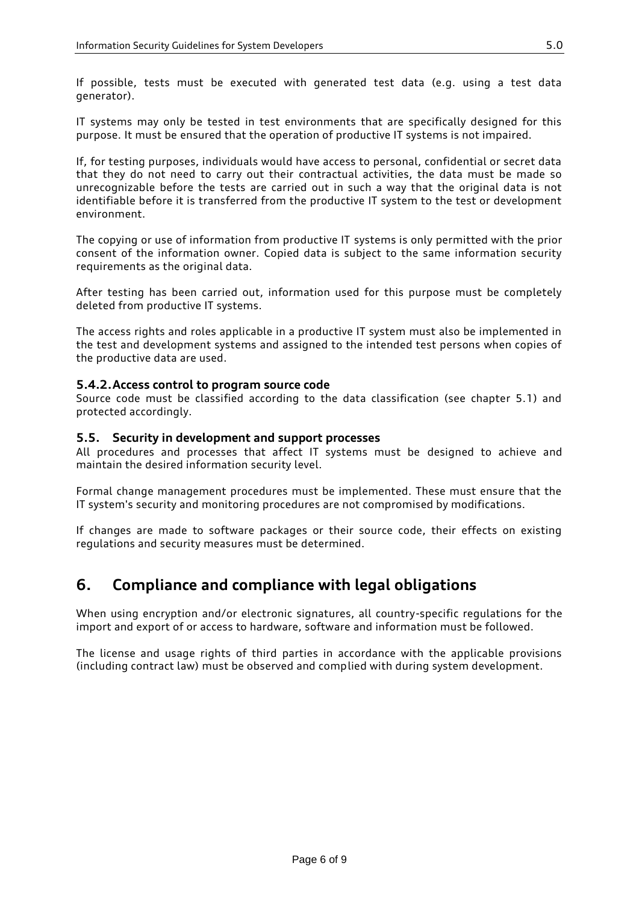If possible, tests must be executed with generated test data (e.g. using a test data generator).

IT systems may only be tested in test environments that are specifically designed for this purpose. It must be ensured that the operation of productive IT systems is not impaired.

If, for testing purposes, individuals would have access to personal, confidential or secret data that they do not need to carry out their contractual activities, the data must be made so unrecognizable before the tests are carried out in such a way that the original data is not identifiable before it is transferred from the productive IT system to the test or development environment.

The copying or use of information from productive IT systems is only permitted with the prior consent of the information owner. Copied data is subject to the same information security requirements as the original data.

After testing has been carried out, information used for this purpose must be completely deleted from productive IT systems.

The access rights and roles applicable in a productive IT system must also be implemented in the test and development systems and assigned to the intended test persons when copies of the productive data are used.

### <span id="page-5-0"></span>**5.4.2.Access control to program source code**

Source code must be classified according to the data classification (see chapter 5.1) and protected accordingly.

#### <span id="page-5-1"></span>**5.5. Security in development and support processes**

All procedures and processes that affect IT systems must be designed to achieve and maintain the desired information security level.

Formal change management procedures must be implemented. These must ensure that the IT system's security and monitoring procedures are not compromised by modifications.

<span id="page-5-2"></span>If changes are made to software packages or their source code, their effects on existing regulations and security measures must be determined.

### **6. Compliance and compliance with legal obligations**

When using encryption and/or electronic signatures, all country-specific regulations for the import and export of or access to hardware, software and information must be followed.

The license and usage rights of third parties in accordance with the applicable provisions (including contract law) must be observed and complied with during system development.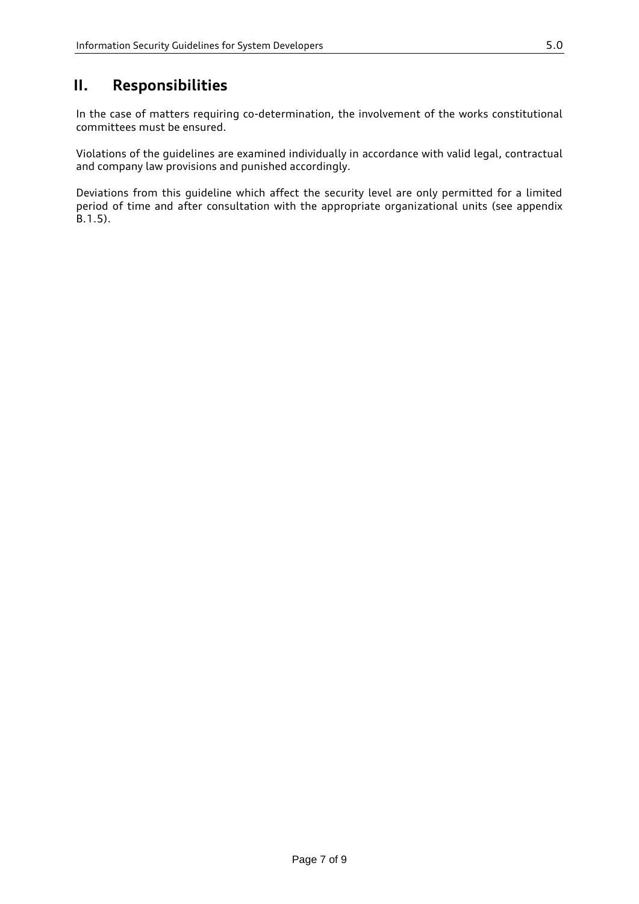## <span id="page-6-0"></span>**II. Responsibilities**

In the case of matters requiring co-determination, the involvement of the works constitutional committees must be ensured.

Violations of the guidelines are examined individually in accordance with valid legal, contractual and company law provisions and punished accordingly.

Deviations from this guideline which affect the security level are only permitted for a limited period of time and after consultation with the appropriate organizational units (see appendix B.1.5).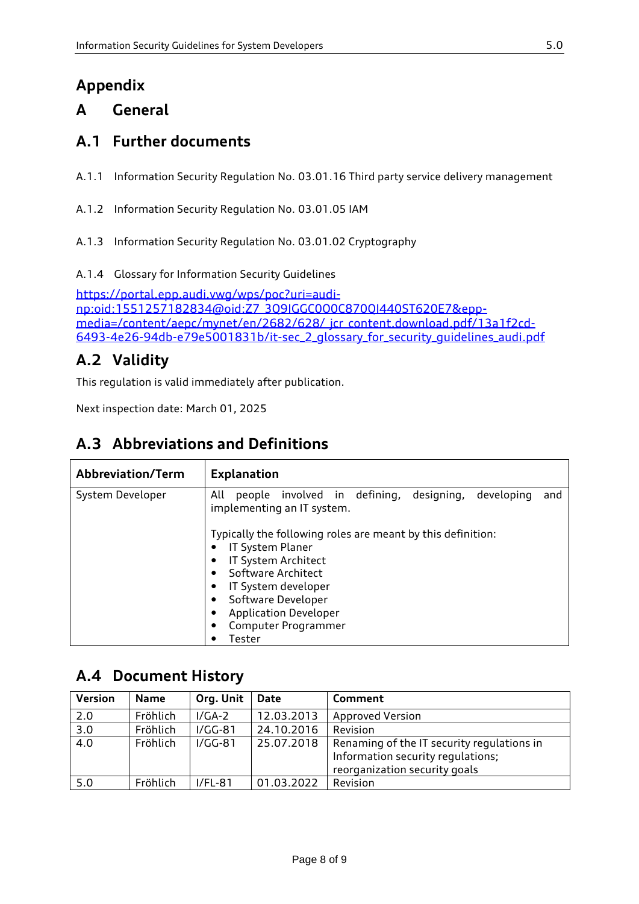# <span id="page-7-0"></span>**Appendix**

## <span id="page-7-1"></span>**A General**

## <span id="page-7-2"></span>**A.1 Further documents**

- A.1.1 Information Security Regulation No. 03.01.16 Third party service delivery management
- A.1.2 Information Security Regulation No. 03.01.05 IAM
- A.1.3 Information Security Regulation No. 03.01.02 Cryptography
- A.1.4 Glossary for Information Security Guidelines

[https://portal.epp.audi.vwg/wps/poc?uri=audi](https://portal.epp.audi.vwg/wps/poc?uri=audi-np:oid:1551257182834@oid:Z7_3Q9IGGC0O0C870QI440ST620E7&epp-media=/content/aepc/mynet/en/2682/628/_jcr_content.download.pdf/13a1f2cd-6493-4e26-94db-e79e5001831b/it-sec_2_glossary_for_security_guidelines_audi.pdf)[np:oid:1551257182834@oid:Z7\\_3Q9IGGC0O0C870QI440ST620E7&epp](https://portal.epp.audi.vwg/wps/poc?uri=audi-np:oid:1551257182834@oid:Z7_3Q9IGGC0O0C870QI440ST620E7&epp-media=/content/aepc/mynet/en/2682/628/_jcr_content.download.pdf/13a1f2cd-6493-4e26-94db-e79e5001831b/it-sec_2_glossary_for_security_guidelines_audi.pdf)[media=/content/aepc/mynet/en/2682/628/\\_jcr\\_content.download.pdf/13a1f2cd-](https://portal.epp.audi.vwg/wps/poc?uri=audi-np:oid:1551257182834@oid:Z7_3Q9IGGC0O0C870QI440ST620E7&epp-media=/content/aepc/mynet/en/2682/628/_jcr_content.download.pdf/13a1f2cd-6493-4e26-94db-e79e5001831b/it-sec_2_glossary_for_security_guidelines_audi.pdf)[6493-4e26-94db-e79e5001831b/it-sec\\_2\\_glossary\\_for\\_security\\_guidelines\\_audi.pdf](https://portal.epp.audi.vwg/wps/poc?uri=audi-np:oid:1551257182834@oid:Z7_3Q9IGGC0O0C870QI440ST620E7&epp-media=/content/aepc/mynet/en/2682/628/_jcr_content.download.pdf/13a1f2cd-6493-4e26-94db-e79e5001831b/it-sec_2_glossary_for_security_guidelines_audi.pdf)

## <span id="page-7-3"></span>**A.2 Validity**

This regulation is valid immediately after publication.

Next inspection date: March 01, 2025

## <span id="page-7-4"></span>**A.3 Abbreviations and Definitions**

| Abbreviation/Term | <b>Explanation</b>                                                                                                                                                                                                                                                    |  |  |  |  |  |
|-------------------|-----------------------------------------------------------------------------------------------------------------------------------------------------------------------------------------------------------------------------------------------------------------------|--|--|--|--|--|
| System Developer  | people involved in defining,<br>developing<br>All<br>designing,<br>and<br>implementing an IT system.<br>Typically the following roles are meant by this definition:<br>IT System Planer<br>IT System Architect<br>Software Architect<br>٠<br>IT System developer<br>٠ |  |  |  |  |  |
|                   | Software Developer<br>٠<br><b>Application Developer</b><br>٠                                                                                                                                                                                                          |  |  |  |  |  |
|                   | Computer Programmer                                                                                                                                                                                                                                                   |  |  |  |  |  |
|                   | Tester                                                                                                                                                                                                                                                                |  |  |  |  |  |

## <span id="page-7-5"></span>**A.4 Document History**

| <b>Version</b>   | <b>Name</b> | Org. Unit | Date       | Comment                                                                                                          |
|------------------|-------------|-----------|------------|------------------------------------------------------------------------------------------------------------------|
| 2.0              | Fröhlich    | $I/GA-2$  | 12.03.2013 | <b>Approved Version</b>                                                                                          |
| $\overline{3.0}$ | Fröhlich    | $I/GG-81$ | 24.10.2016 | Revision                                                                                                         |
| 4.0              | Fröhlich    | $I/GG-81$ | 25.07.2018 | Renaming of the IT security regulations in<br>Information security regulations;<br>reorganization security goals |
| 5.0              | Fröhlich    | $I/FL-81$ | 01.03.2022 | Revision                                                                                                         |